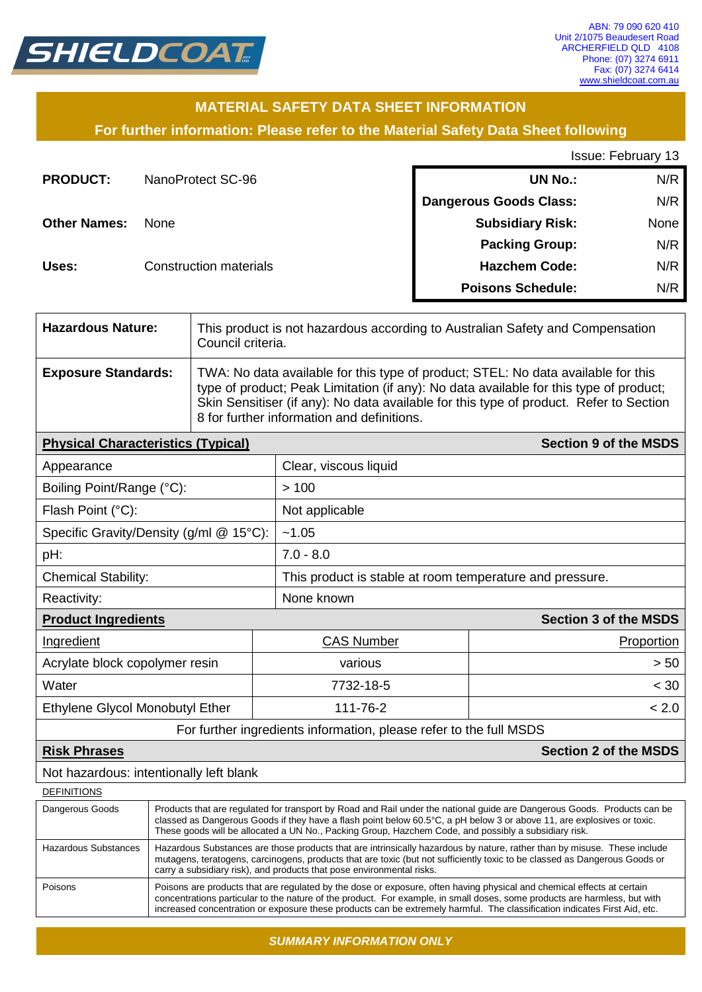

# **MATERIAL SAFETY DATA SHEET INFORMATION**

**For further information: Please refer to the Material Safety Data Sheet following**

Issue: February 13

| <b>PRODUCT:</b>     | NanoProtect SC-96             | <b>UN No.:</b>                | N/R  |
|---------------------|-------------------------------|-------------------------------|------|
|                     |                               | <b>Dangerous Goods Class:</b> | N/R  |
| <b>Other Names:</b> | <b>None</b>                   | <b>Subsidiary Risk:</b>       | None |
|                     |                               | <b>Packing Group:</b>         | N/R  |
| Uses:               | <b>Construction materials</b> | <b>Hazchem Code:</b>          | N/R  |
|                     |                               | <b>Poisons Schedule:</b>      | N/R  |

| <b>Hazardous Nature:</b>                                           | This product is not hazardous according to Australian Safety and Compensation<br>Council criteria.                                                                                                                                                                                                                                                         |                                                                                                                                                                                                                                                                                                                     |                                                          |                              |  |
|--------------------------------------------------------------------|------------------------------------------------------------------------------------------------------------------------------------------------------------------------------------------------------------------------------------------------------------------------------------------------------------------------------------------------------------|---------------------------------------------------------------------------------------------------------------------------------------------------------------------------------------------------------------------------------------------------------------------------------------------------------------------|----------------------------------------------------------|------------------------------|--|
| <b>Exposure Standards:</b>                                         |                                                                                                                                                                                                                                                                                                                                                            | TWA: No data available for this type of product; STEL: No data available for this<br>type of product; Peak Limitation (if any): No data available for this type of product;<br>Skin Sensitiser (if any): No data available for this type of product. Refer to Section<br>8 for further information and definitions. |                                                          |                              |  |
| <b>Physical Characteristics (Typical)</b>                          |                                                                                                                                                                                                                                                                                                                                                            |                                                                                                                                                                                                                                                                                                                     |                                                          | <b>Section 9 of the MSDS</b> |  |
| Appearance                                                         |                                                                                                                                                                                                                                                                                                                                                            |                                                                                                                                                                                                                                                                                                                     | Clear, viscous liquid                                    |                              |  |
| Boiling Point/Range (°C):                                          |                                                                                                                                                                                                                                                                                                                                                            |                                                                                                                                                                                                                                                                                                                     | >100                                                     |                              |  |
| Flash Point (°C):                                                  |                                                                                                                                                                                                                                                                                                                                                            |                                                                                                                                                                                                                                                                                                                     | Not applicable                                           |                              |  |
| Specific Gravity/Density (g/ml @ 15°C):                            |                                                                                                                                                                                                                                                                                                                                                            |                                                                                                                                                                                                                                                                                                                     | ~1.05                                                    |                              |  |
| pH:                                                                |                                                                                                                                                                                                                                                                                                                                                            |                                                                                                                                                                                                                                                                                                                     | $7.0 - 8.0$                                              |                              |  |
| <b>Chemical Stability:</b>                                         |                                                                                                                                                                                                                                                                                                                                                            |                                                                                                                                                                                                                                                                                                                     | This product is stable at room temperature and pressure. |                              |  |
| Reactivity:                                                        |                                                                                                                                                                                                                                                                                                                                                            |                                                                                                                                                                                                                                                                                                                     | None known                                               |                              |  |
| <b>Product Ingredients</b><br><b>Section 3 of the MSDS</b>         |                                                                                                                                                                                                                                                                                                                                                            |                                                                                                                                                                                                                                                                                                                     |                                                          |                              |  |
| Ingredient                                                         |                                                                                                                                                                                                                                                                                                                                                            | <b>CAS Number</b>                                                                                                                                                                                                                                                                                                   |                                                          | Proportion                   |  |
| Acrylate block copolymer resin                                     |                                                                                                                                                                                                                                                                                                                                                            | various                                                                                                                                                                                                                                                                                                             |                                                          | > 50                         |  |
| Water                                                              |                                                                                                                                                                                                                                                                                                                                                            | 7732-18-5                                                                                                                                                                                                                                                                                                           |                                                          | < 30                         |  |
| Ethylene Glycol Monobutyl Ether                                    |                                                                                                                                                                                                                                                                                                                                                            | 111-76-2                                                                                                                                                                                                                                                                                                            |                                                          | < 2.0                        |  |
| For further ingredients information, please refer to the full MSDS |                                                                                                                                                                                                                                                                                                                                                            |                                                                                                                                                                                                                                                                                                                     |                                                          |                              |  |
| <b>Section 2 of the MSDS</b><br><b>Risk Phrases</b>                |                                                                                                                                                                                                                                                                                                                                                            |                                                                                                                                                                                                                                                                                                                     |                                                          |                              |  |
| Not hazardous: intentionally left blank                            |                                                                                                                                                                                                                                                                                                                                                            |                                                                                                                                                                                                                                                                                                                     |                                                          |                              |  |
| <b>DEFINITIONS</b>                                                 |                                                                                                                                                                                                                                                                                                                                                            |                                                                                                                                                                                                                                                                                                                     |                                                          |                              |  |
| Dangerous Goods                                                    | Products that are regulated for transport by Road and Rail under the national guide are Dangerous Goods. Products can be<br>classed as Dangerous Goods if they have a flash point below 60.5°C, a pH below 3 or above 11, are explosives or toxic.<br>These goods will be allocated a UN No., Packing Group, Hazchem Code, and possibly a subsidiary risk. |                                                                                                                                                                                                                                                                                                                     |                                                          |                              |  |
| <b>Hazardous Substances</b>                                        | Hazardous Substances are those products that are intrinsically hazardous by nature, rather than by misuse. These include<br>mutagens, teratogens, carcinogens, products that are toxic (but not sufficiently toxic to be classed as Dangerous Goods or<br>carry a subsidiary risk), and products that pose environmental risks.                            |                                                                                                                                                                                                                                                                                                                     |                                                          |                              |  |
| Poisons                                                            | Poisons are products that are regulated by the dose or exposure, often having physical and chemical effects at certain                                                                                                                                                                                                                                     |                                                                                                                                                                                                                                                                                                                     |                                                          |                              |  |

*SUMMARY INFORMATION ONLY*

concentrations particular to the nature of the product. For example, in small doses, some products are harmless, but with increased concentration or exposure these products can be extremely harmful. The classification indicates First Aid, etc.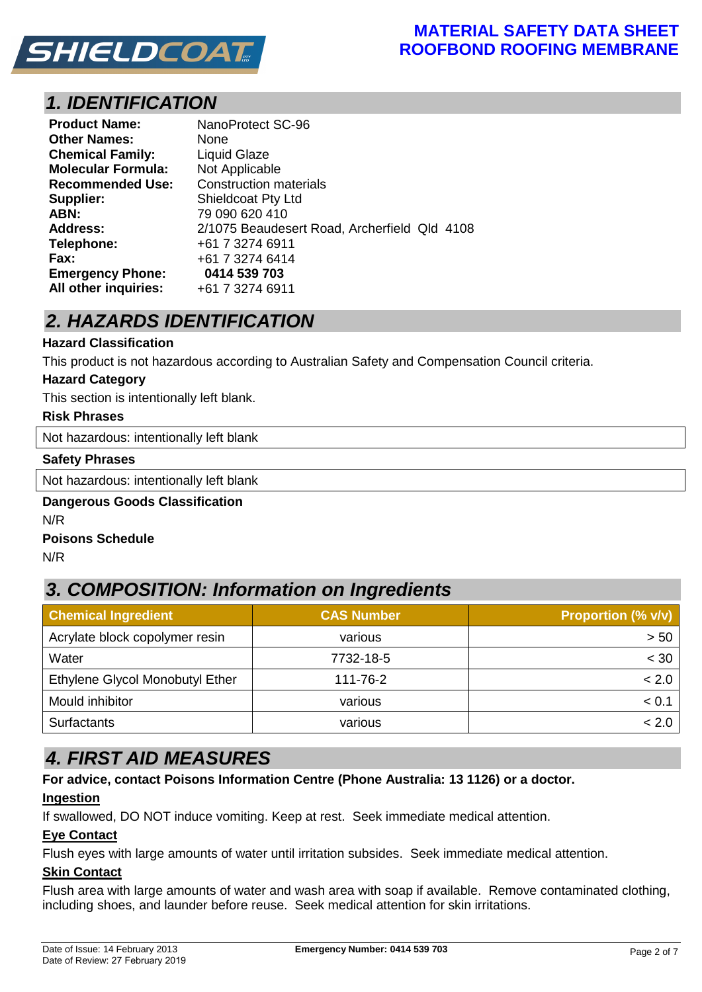

# *1. IDENTIFICATION*

| <b>Product Name:</b>      | NanoProtect SC-96                            |
|---------------------------|----------------------------------------------|
| <b>Other Names:</b>       | None                                         |
| <b>Chemical Family:</b>   | <b>Liquid Glaze</b>                          |
| <b>Molecular Formula:</b> | Not Applicable                               |
| <b>Recommended Use:</b>   | <b>Construction materials</b>                |
| Supplier:                 | <b>Shieldcoat Pty Ltd</b>                    |
| ABN:                      | 79 090 620 410                               |
| <b>Address:</b>           | 2/1075 Beaudesert Road, Archerfield Qld 4108 |
| Telephone:                | +61 7 3274 6911                              |
| Fax:                      | +61 7 3274 6414                              |
| <b>Emergency Phone:</b>   | 0414 539 703                                 |
| All other inquiries:      | +61 7 3274 6911                              |

# *2. HAZARDS IDENTIFICATION*

### **Hazard Classification**

This product is not hazardous according to Australian Safety and Compensation Council criteria.

#### **Hazard Category**

This section is intentionally left blank.

#### **Risk Phrases**

Not hazardous: intentionally left blank

#### **Safety Phrases**

Not hazardous: intentionally left blank

## **Dangerous Goods Classification** N/R

#### **Poisons Schedule**

N/R

# *3. COMPOSITION: Information on Ingredients*

| <b>Chemical Ingredient</b>      | <b>CAS Number</b> | <b>Proportion (% v/v)</b> |
|---------------------------------|-------------------|---------------------------|
| Acrylate block copolymer resin  | various           | > 50                      |
| Water                           | 7732-18-5         | < 30                      |
| Ethylene Glycol Monobutyl Ether | 111-76-2          | < 2.0                     |
| Mould inhibitor                 | various           | < 0.1                     |
| <b>Surfactants</b>              | various           | < 2.0                     |

# *4. FIRST AID MEASURES*

# **For advice, contact Poisons Information Centre (Phone Australia: 13 1126) or a doctor.**

# **Ingestion**

If swallowed, DO NOT induce vomiting. Keep at rest. Seek immediate medical attention.

# **Eye Contact**

Flush eyes with large amounts of water until irritation subsides. Seek immediate medical attention.

# **Skin Contact**

Flush area with large amounts of water and wash area with soap if available. Remove contaminated clothing, including shoes, and launder before reuse. Seek medical attention for skin irritations.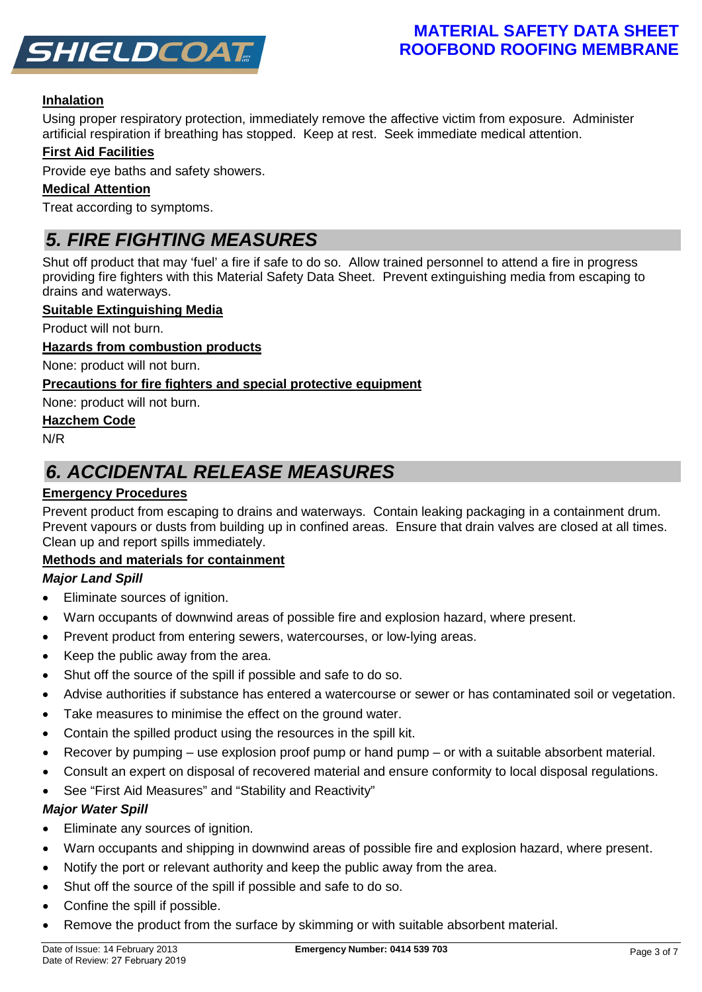

# **MATERIAL SAFETY DATA SHEET ROOFBOND ROOFING MEMBRANE**

# **Inhalation**

Using proper respiratory protection, immediately remove the affective victim from exposure. Administer artificial respiration if breathing has stopped. Keep at rest. Seek immediate medical attention.

# **First Aid Facilities**

Provide eye baths and safety showers.

## **Medical Attention**

Treat according to symptoms.

# *5. FIRE FIGHTING MEASURES*

Shut off product that may 'fuel' a fire if safe to do so. Allow trained personnel to attend a fire in progress providing fire fighters with this Material Safety Data Sheet. Prevent extinguishing media from escaping to drains and waterways.

#### **Suitable Extinguishing Media**

Product will not burn.

### **Hazards from combustion products**

None: product will not burn.

# **Precautions for fire fighters and special protective equipment**

None: product will not burn.

### **Hazchem Code**

N/R

# *6. ACCIDENTAL RELEASE MEASURES*

# **Emergency Procedures**

Prevent product from escaping to drains and waterways. Contain leaking packaging in a containment drum. Prevent vapours or dusts from building up in confined areas. Ensure that drain valves are closed at all times. Clean up and report spills immediately.

# **Methods and materials for containment**

# *Major Land Spill*

- Eliminate sources of ignition.
- Warn occupants of downwind areas of possible fire and explosion hazard, where present.
- Prevent product from entering sewers, watercourses, or low-lying areas.
- Keep the public away from the area.
- Shut off the source of the spill if possible and safe to do so.
- Advise authorities if substance has entered a watercourse or sewer or has contaminated soil or vegetation.
- Take measures to minimise the effect on the ground water.
- Contain the spilled product using the resources in the spill kit.
- Recover by pumping use explosion proof pump or hand pump or with a suitable absorbent material.
- Consult an expert on disposal of recovered material and ensure conformity to local disposal regulations.
- See "First Aid Measures" and "Stability and Reactivity"

# *Major Water Spill*

- Eliminate any sources of ignition.
- Warn occupants and shipping in downwind areas of possible fire and explosion hazard, where present.
- Notify the port or relevant authority and keep the public away from the area.
- Shut off the source of the spill if possible and safe to do so.
- Confine the spill if possible.
- Remove the product from the surface by skimming or with suitable absorbent material.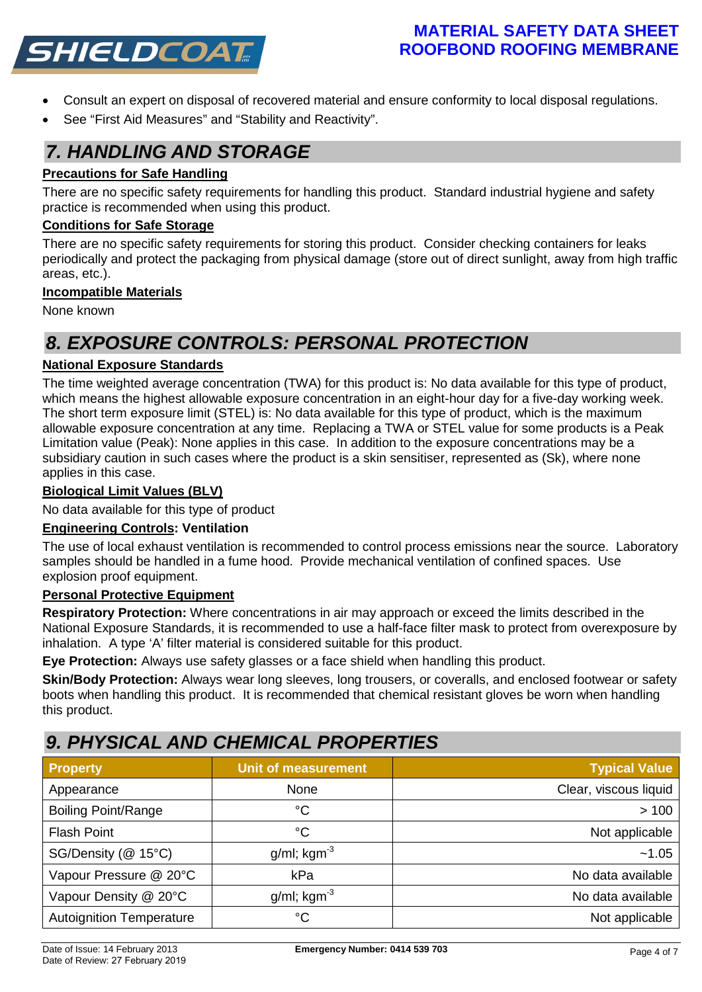

# **MATERIAL SAFETY DATA SHEET ROOFBOND ROOFING MEMBRANE**

- Consult an expert on disposal of recovered material and ensure conformity to local disposal regulations.
- See "First Aid Measures" and "Stability and Reactivity".

# *7. HANDLING AND STORAGE*

# **Precautions for Safe Handling**

There are no specific safety requirements for handling this product. Standard industrial hygiene and safety practice is recommended when using this product.

## **Conditions for Safe Storage**

There are no specific safety requirements for storing this product. Consider checking containers for leaks periodically and protect the packaging from physical damage (store out of direct sunlight, away from high traffic areas, etc.).

### **Incompatible Materials**

None known

# *8. EXPOSURE CONTROLS: PERSONAL PROTECTION*

# **National Exposure Standards**

The time weighted average concentration (TWA) for this product is: No data available for this type of product, which means the highest allowable exposure concentration in an eight-hour day for a five-day working week. The short term exposure limit (STEL) is: No data available for this type of product, which is the maximum allowable exposure concentration at any time. Replacing a TWA or STEL value for some products is a Peak Limitation value (Peak): None applies in this case. In addition to the exposure concentrations may be a subsidiary caution in such cases where the product is a skin sensitiser, represented as (Sk), where none applies in this case.

#### **Biological Limit Values (BLV)**

No data available for this type of product

#### **Engineering Controls: Ventilation**

The use of local exhaust ventilation is recommended to control process emissions near the source. Laboratory samples should be handled in a fume hood. Provide mechanical ventilation of confined spaces. Use explosion proof equipment.

#### **Personal Protective Equipment**

**Respiratory Protection:** Where concentrations in air may approach or exceed the limits described in the National Exposure Standards, it is recommended to use a half-face filter mask to protect from overexposure by inhalation. A type 'A' filter material is considered suitable for this product.

**Eye Protection:** Always use safety glasses or a face shield when handling this product.

**Skin/Body Protection:** Always wear long sleeves, long trousers, or coveralls, and enclosed footwear or safety boots when handling this product. It is recommended that chemical resistant gloves be worn when handling this product.

# *9. PHYSICAL AND CHEMICAL PROPERTIES*

| <b>Property</b>                 | <b>Unit of measurement</b> | <b>Typical Value</b>  |
|---------------------------------|----------------------------|-----------------------|
| Appearance                      | None                       | Clear, viscous liquid |
| <b>Boiling Point/Range</b>      | $^{\circ}C$                | >100                  |
| <b>Flash Point</b>              | $^{\circ}C$                | Not applicable        |
| SG/Density (@ 15°C)             | $g/ml$ ; kgm <sup>-3</sup> | ~1.05                 |
| Vapour Pressure @ 20°C          | kPa                        | No data available     |
| Vapour Density @ 20°C           | $g/ml$ ; kgm <sup>-3</sup> | No data available     |
| <b>Autoignition Temperature</b> | $^{\circ}C$                | Not applicable        |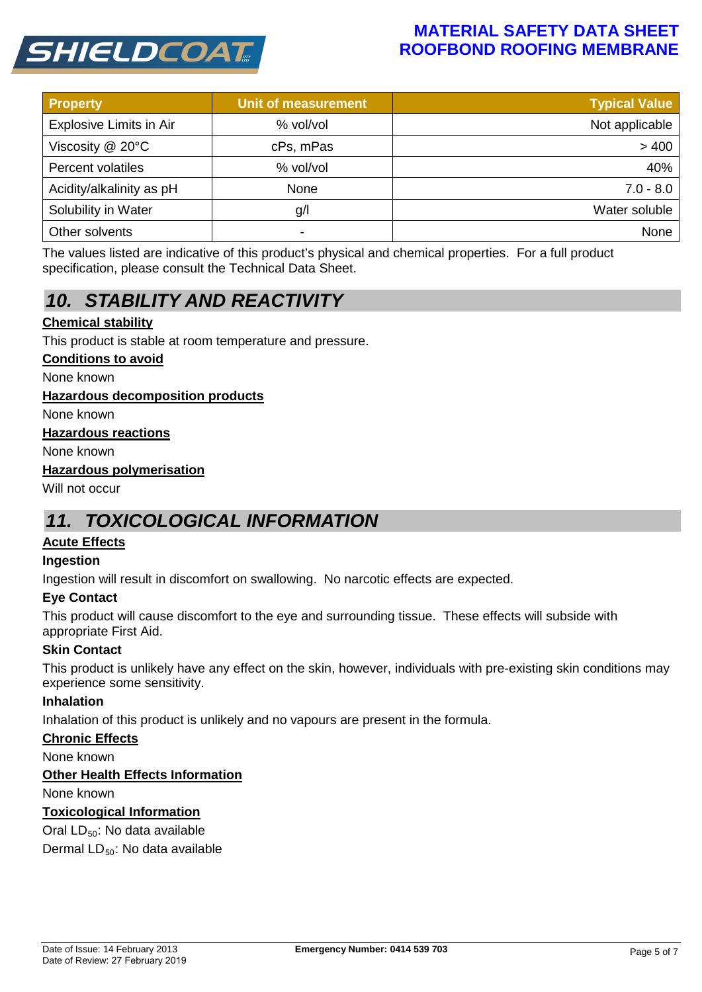

# **MATERIAL SAFETY DATA SHEET ROOFBOND ROOFING MEMBRANE**

| <b>Property</b>          | <b>Unit of measurement</b> | <b>Typical Value</b> |
|--------------------------|----------------------------|----------------------|
| Explosive Limits in Air  | % vol/vol                  | Not applicable       |
| Viscosity @ 20°C         | cPs, mPas                  | >400                 |
| Percent volatiles        | % vol/vol                  | 40%                  |
| Acidity/alkalinity as pH | None                       | $7.0 - 8.0$          |
| Solubility in Water      | g/l                        | Water soluble        |
| Other solvents           | -                          | None                 |

The values listed are indicative of this product's physical and chemical properties. For a full product specification, please consult the Technical Data Sheet.

# *10. STABILITY AND REACTIVITY*

# **Chemical stability**

This product is stable at room temperature and pressure.

#### **Conditions to avoid**

None known

#### **Hazardous decomposition products**

None known

#### **Hazardous reactions**

None known

#### **Hazardous polymerisation**

Will not occur

# *11. TOXICOLOGICAL INFORMATION*

#### **Acute Effects**

#### **Ingestion**

Ingestion will result in discomfort on swallowing. No narcotic effects are expected.

#### **Eye Contact**

This product will cause discomfort to the eye and surrounding tissue. These effects will subside with appropriate First Aid.

#### **Skin Contact**

This product is unlikely have any effect on the skin, however, individuals with pre-existing skin conditions may experience some sensitivity.

#### **Inhalation**

Inhalation of this product is unlikely and no vapours are present in the formula.

#### **Chronic Effects**

None known

#### **Other Health Effects Information**

None known

#### **Toxicological Information**

Oral  $LD_{50}$ : No data available

Dermal  $LD_{50}$ : No data available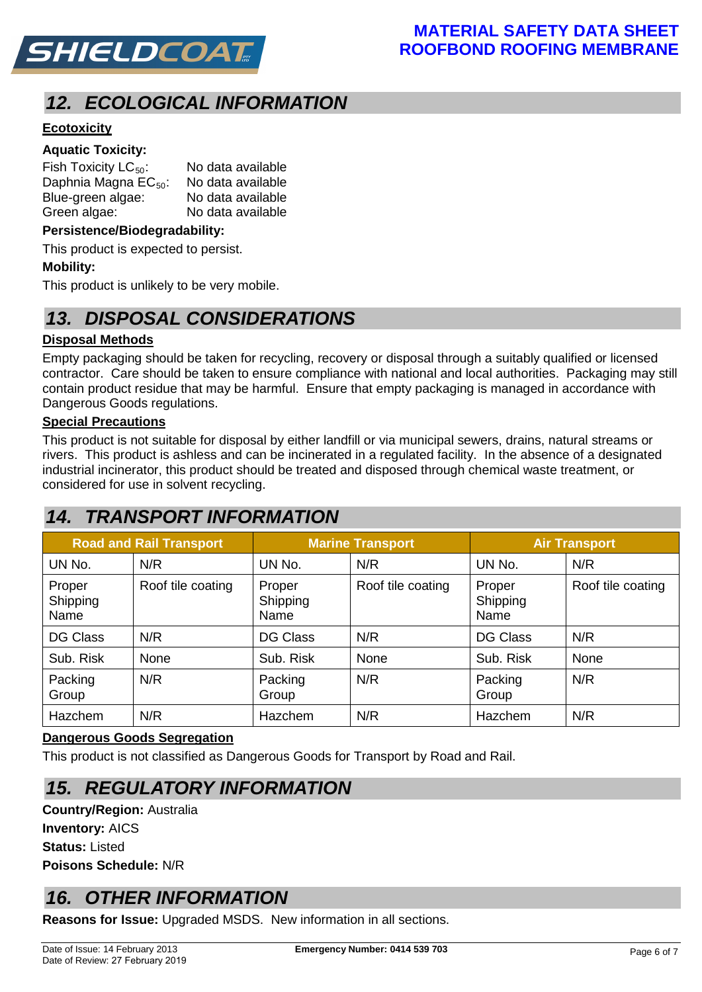

# *12. ECOLOGICAL INFORMATION*

# **Ecotoxicity**

## **Aquatic Toxicity:**

| Fish Toxicity $LC_{50}$ :        | No data available |
|----------------------------------|-------------------|
| Daphnia Magna EC <sub>50</sub> : | No data available |
| Blue-green algae:                | No data available |
| Green algae:                     | No data available |

#### **Persistence/Biodegradability:**

This product is expected to persist.

#### **Mobility:**

This product is unlikely to be very mobile.

# *13. DISPOSAL CONSIDERATIONS*

### **Disposal Methods**

Empty packaging should be taken for recycling, recovery or disposal through a suitably qualified or licensed contractor. Care should be taken to ensure compliance with national and local authorities. Packaging may still contain product residue that may be harmful. Ensure that empty packaging is managed in accordance with Dangerous Goods regulations.

#### **Special Precautions**

This product is not suitable for disposal by either landfill or via municipal sewers, drains, natural streams or rivers. This product is ashless and can be incinerated in a regulated facility. In the absence of a designated industrial incinerator, this product should be treated and disposed through chemical waste treatment, or considered for use in solvent recycling.

# *14. TRANSPORT INFORMATION*

| <b>Road and Rail Transport</b> |                   | <b>Marine Transport</b>    |                   | <b>Air Transport</b>       |                   |
|--------------------------------|-------------------|----------------------------|-------------------|----------------------------|-------------------|
| UN No.                         | N/R               | UN No.                     | N/R               | UN No.                     | N/R               |
| Proper<br>Shipping<br>Name     | Roof tile coating | Proper<br>Shipping<br>Name | Roof tile coating | Proper<br>Shipping<br>Name | Roof tile coating |
| <b>DG Class</b>                | N/R               | <b>DG Class</b>            | N/R               | <b>DG Class</b>            | N/R               |
| Sub. Risk                      | None              | Sub. Risk                  | None              | Sub. Risk                  | None              |
| Packing<br>Group               | N/R               | Packing<br>Group           | N/R               | Packing<br>Group           | N/R               |
| Hazchem                        | N/R               | Hazchem                    | N/R               | Hazchem                    | N/R               |

#### **Dangerous Goods Segregation**

This product is not classified as Dangerous Goods for Transport by Road and Rail.

# *15. REGULATORY INFORMATION*

**Country/Region:** Australia **Inventory:** AICS **Status:** Listed **Poisons Schedule:** N/R

# *16. OTHER INFORMATION*

**Reasons for Issue:** Upgraded MSDS. New information in all sections.